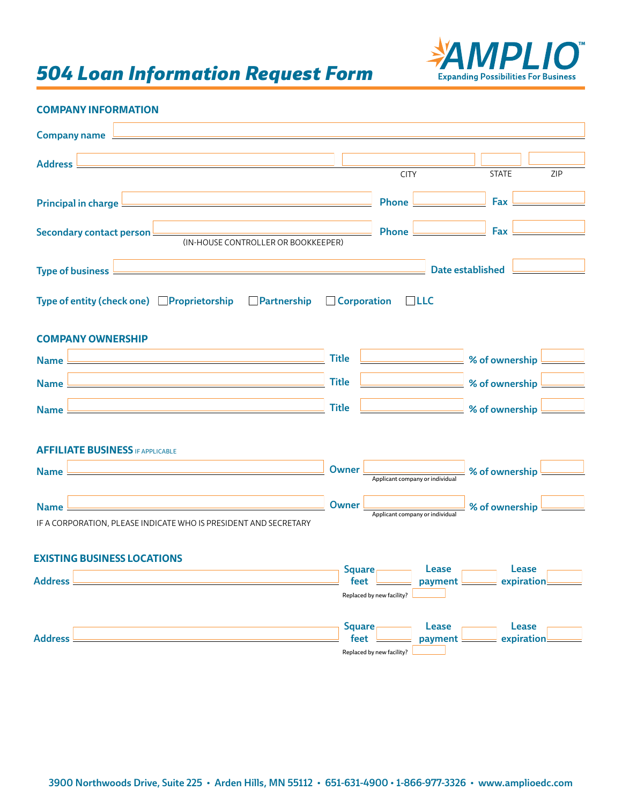# *504 Loan Information Request Form*



# **COMPANY INFORMATION**

| Company name $\overline{\phantom{a}}$<br><u> 1989 - Johann Stoff, amerikansk politiker (d. 1989)</u>                                                                            |                         |                                 |                         |                     |     |
|---------------------------------------------------------------------------------------------------------------------------------------------------------------------------------|-------------------------|---------------------------------|-------------------------|---------------------|-----|
| <u> 1989 - Johann Barn, mars ann an t-Amhain Aonaichte ann an t-Amhain Aonaichte ann an t-Amhain Aonaichte ann an</u><br>Address                                                |                         |                                 |                         |                     |     |
|                                                                                                                                                                                 |                         | <b>CITY</b>                     |                         | <b>STATE</b>        | ZIP |
| Principal in charge<br><u> 1980 - Johann Barbara, martxa alemaniar argumento este alemaniar alemaniar alemaniar alemaniar alemaniar al</u>                                      |                         | <b>Phone</b>                    |                         | Fax                 |     |
| Secondary contact person<br>(IN-HOUSE CONTROLLER OR BOOKKEEPER)                                                                                                                 |                         | <b>Phone</b>                    |                         | Fax                 |     |
| Type of business L                                                                                                                                                              |                         |                                 | <b>Date established</b> |                     |     |
| Type of entity (check one) Proprietorship Partnership                                                                                                                           | <b>Corporation</b>      |                                 | L <sub>L</sub>          |                     |     |
| <b>COMPANY OWNERSHIP</b>                                                                                                                                                        |                         |                                 |                         |                     |     |
| <u> 1989 - Johann John Stone, mars and de final and de final and de final and de final and de final and de final</u><br>Name !                                                  | <b>Title</b>            |                                 |                         | % of ownership      |     |
| <b>Name</b><br><u> 1980 - Andrea Station, amerikansk politik (d. 1980)</u>                                                                                                      | <b>Title</b>            |                                 |                         | % of ownership L    |     |
| <b>Name</b><br><u> 1989 - Johann Barn, amerikansk politiker (d. 1989)</u>                                                                                                       | <b>Title</b>            |                                 |                         | % of ownership      |     |
| <b>AFFILIATE BUSINESS IF APPLICABLE</b><br><b>Name</b><br><u> 1980 - Johann Barn, amerikan bestemanns og forskellige og det blev som forskellige og det blev som forskellig</u> | <b>Owner</b>            | Applicant company or individual |                         | % of ownership      |     |
| <b>Name</b>                                                                                                                                                                     | <b>Owner</b>            | Applicant company or individual |                         | % of ownership      |     |
| IF A CORPORATION, PLEASE INDICATE WHO IS PRESIDENT AND SECRETARY                                                                                                                |                         |                                 |                         |                     |     |
| <b>EXISTING BUSINESS LOCATIONS</b><br><b>Address</b>                                                                                                                            | Square $\vdash$<br>feet |                                 | Lease<br>payment L      | Lease<br>expiration |     |
|                                                                                                                                                                                 |                         | Replaced by new facility?       |                         |                     |     |
| <b>Address</b>                                                                                                                                                                  | <b>Square</b><br>feet   | Replaced by new facility?       | Lease<br>payment        | Lease<br>expiration |     |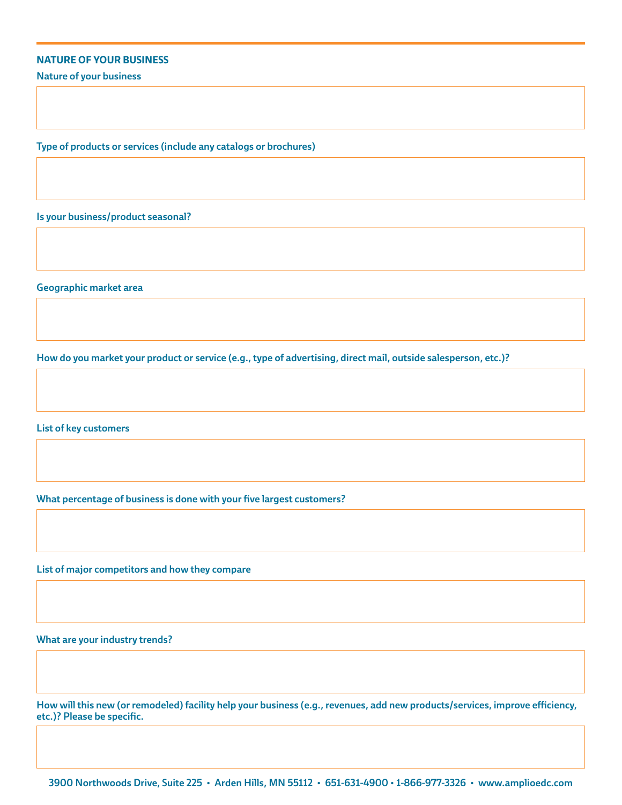#### **NATURE OF YOUR BUSINESS**

Nature of your business

Type of products or services (include any catalogs or brochures)

Is your business/product seasonal?

Geographic market area

How do you market your product or service (e.g., type of advertising, direct mail, outside salesperson, etc.)?

List of key customers

What percentage of business is done with your five largest customers?

List of major competitors and how they compare

What are your industry trends?

How will this new (or remodeled) facility help your business (e.g., revenues, add new products/services, improve efficiency, etc.)? Please be specific.

3900 Northwoods Drive, Suite 225 • Arden Hills, MN 55112 • 651-631-4900 • 1-866-977-3326 • www.amplioedc.com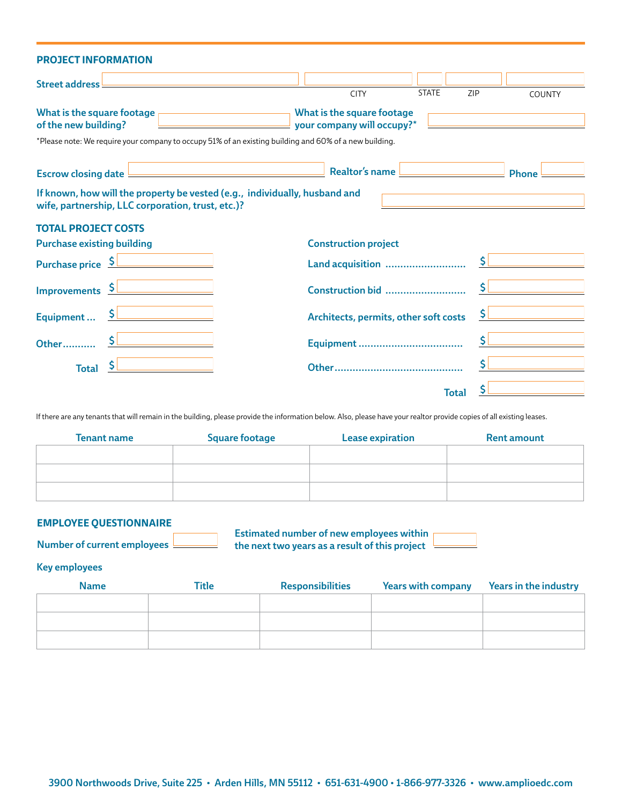| <b>PROJECT INFORMATION</b>                                                                                                                                            |                                                                            |               |
|-----------------------------------------------------------------------------------------------------------------------------------------------------------------------|----------------------------------------------------------------------------|---------------|
| Street address                                                                                                                                                        | <b>STATE</b><br>ZIP<br><b>CITY</b>                                         | <b>COUNTY</b> |
| What is the square footage $\overline{a}$<br>of the new building?<br>the control of the control of the control of the control of                                      | <u>Examples a What is the square footage</u><br>your company will occupy?* |               |
| *Please note: We require your company to occupy 51% of an existing building and 60% of a new building.                                                                |                                                                            |               |
| <u> 1989 - Johann Barn, mars ann an t-Amhain Aonaichte ann an t-Aonaichte ann an t-Aonaichte ann an t-Aonaichte a</u><br>Escrow closing date $\overline{\phantom{a}}$ | Realtor's name                                                             | <b>Phone</b>  |
| If known, how will the property be vested (e.g., individually, husband and<br>wife, partnership, LLC corporation, trust, etc.)?                                       |                                                                            |               |
| <b>TOTAL PROJECT COSTS</b>                                                                                                                                            |                                                                            |               |
| <b>Purchase existing building</b>                                                                                                                                     | <b>Construction project</b>                                                |               |
| Purchase price S                                                                                                                                                      |                                                                            |               |
| Improvements SLAND CONTINUES                                                                                                                                          | $\mathsf{S}$<br>Construction bid                                           |               |
| Equipment  S                                                                                                                                                          | Architects, permits, other soft costs                                      |               |
|                                                                                                                                                                       |                                                                            |               |
| <b>Total</b>                                                                                                                                                          |                                                                            |               |
|                                                                                                                                                                       | <b>Total</b>                                                               |               |

If there are any tenants that will remain in the building, please provide the information below. Also, please have your realtor provide copies of all existing leases.

| <b>Tenant name</b> | <b>Square footage</b> | <b>Lease expiration</b> | <b>Rent amount</b> |
|--------------------|-----------------------|-------------------------|--------------------|
|                    |                       |                         |                    |
|                    |                       |                         |                    |
|                    |                       |                         |                    |

### **EMPLOYEE QUESTIONNAIRE**

Number of current employees

Estimated number of new employees within the next two years as a result of this project

### Key employees

| <b>Name</b> | <b>Title</b> | <b>Responsibilities</b> | <b>Years with company</b> | <b>Years in the industry</b> |
|-------------|--------------|-------------------------|---------------------------|------------------------------|
|             |              |                         |                           |                              |
|             |              |                         |                           |                              |
|             |              |                         |                           |                              |
|             |              |                         |                           |                              |